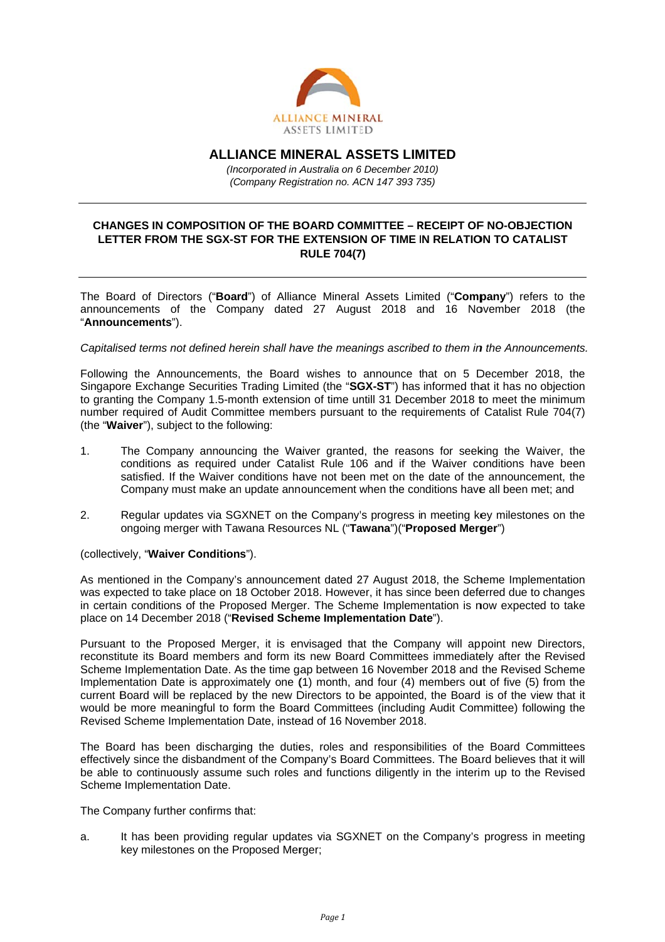

**ALLIANCE MINERAL ASSETS LIMITED** 

(Incorporated in Australia on 6 December 2010) (Company Registration no. ACN 147 393 735)

## **CHANGES IN COMPOSITION OF THE BOARD COMMITTEE - RECEIPT OF NO-OBJECTION** LETTER FROM THE SGX-ST FOR THE EXTENSION OF TIME IN RELATION TO CATALIST **RULE 704(7)**

The Board of Directors ("Board") of Alliance Mineral Assets Limited ("Company") refers to the announcements of the Company dated 27 August 2018 and 16 November 2018 (the "Announcements").

## Capitalised terms not defined herein shall have the meanings ascribed to them in the Announcements.

Following the Announcements, the Board wishes to announce that on 5 December 2018, the Singapore Exchange Securities Trading Limited (the "SGX-ST") has informed that it has no objection to granting the Company 1.5-month extension of time untill 31 December 2018 to meet the minimum number required of Audit Committee members pursuant to the requirements of Catalist Rule 704(7) (the "Waiver"), subject to the following:

- $\mathbf{1}$ The Company announcing the Waiver granted, the reasons for seeking the Waiver, the conditions as required under Catalist Rule 106 and if the Waiver conditions have been satisfied. If the Waiver conditions have not been met on the date of the announcement, the Company must make an update announcement when the conditions have all been met: and
- $2.$ Regular updates via SGXNET on the Company's progress in meeting key milestones on the ongoing merger with Tawana Resources NL ("Tawana")("Proposed Merger")

## (collectively, "Waiver Conditions").

As mentioned in the Company's announcement dated 27 August 2018, the Scheme Implementation was expected to take place on 18 October 2018. However, it has since been deferred due to changes in certain conditions of the Proposed Merger. The Scheme Implementation is now expected to take place on 14 December 2018 ("Revised Scheme Implementation Date").

Pursuant to the Proposed Merger, it is envisaged that the Company will appoint new Directors, reconstitute its Board members and form its new Board Committees immediately after the Revised Scheme Implementation Date. As the time gap between 16 November 2018 and the Revised Scheme Implementation Date is approximately one (1) month, and four (4) members out of five (5) from the current Board will be replaced by the new Directors to be appointed, the Board is of the view that it would be more meaningful to form the Board Committees (including Audit Committee) following the Revised Scheme Implementation Date, instead of 16 November 2018.

The Board has been discharging the duties, roles and responsibilities of the Board Committees effectively since the disbandment of the Company's Board Committees. The Board believes that it will be able to continuously assume such roles and functions diligently in the interim up to the Revised Scheme Implementation Date.

The Company further confirms that:

It has been providing regular updates via SGXNET on the Company's progress in meeting  $a<sub>1</sub>$ key milestones on the Proposed Merger;